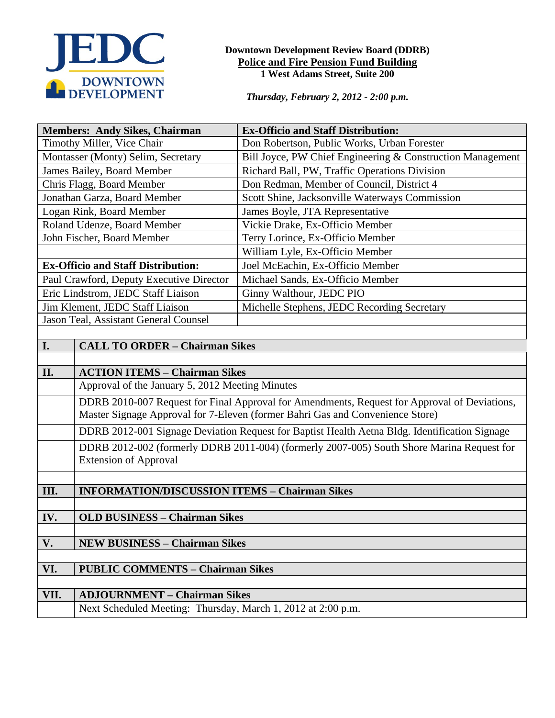

#### **Downtown Development Review Board (DDRB) Police and Fire Pension Fund Building 1 West Adams Street, Suite 200**

*Thursday, February 2, 2012 - 2:00 p.m.*

| <b>Members: Andy Sikes, Chairman</b>                                                                                                                                          |                                                                                               | <b>Ex-Officio and Staff Distribution:</b>                  |  |  |  |  |
|-------------------------------------------------------------------------------------------------------------------------------------------------------------------------------|-----------------------------------------------------------------------------------------------|------------------------------------------------------------|--|--|--|--|
| Timothy Miller, Vice Chair                                                                                                                                                    |                                                                                               | Don Robertson, Public Works, Urban Forester                |  |  |  |  |
| Montasser (Monty) Selim, Secretary                                                                                                                                            |                                                                                               | Bill Joyce, PW Chief Engineering & Construction Management |  |  |  |  |
| James Bailey, Board Member                                                                                                                                                    |                                                                                               | Richard Ball, PW, Traffic Operations Division              |  |  |  |  |
| Chris Flagg, Board Member                                                                                                                                                     |                                                                                               | Don Redman, Member of Council, District 4                  |  |  |  |  |
| Jonathan Garza, Board Member                                                                                                                                                  |                                                                                               | Scott Shine, Jacksonville Waterways Commission             |  |  |  |  |
| Logan Rink, Board Member                                                                                                                                                      |                                                                                               | James Boyle, JTA Representative                            |  |  |  |  |
| Roland Udenze, Board Member                                                                                                                                                   |                                                                                               | Vickie Drake, Ex-Officio Member                            |  |  |  |  |
| John Fischer, Board Member                                                                                                                                                    |                                                                                               | Terry Lorince, Ex-Officio Member                           |  |  |  |  |
|                                                                                                                                                                               |                                                                                               | William Lyle, Ex-Officio Member                            |  |  |  |  |
| <b>Ex-Officio and Staff Distribution:</b>                                                                                                                                     |                                                                                               | Joel McEachin, Ex-Officio Member                           |  |  |  |  |
| Paul Crawford, Deputy Executive Director                                                                                                                                      |                                                                                               | Michael Sands, Ex-Officio Member                           |  |  |  |  |
| Eric Lindstrom, JEDC Staff Liaison                                                                                                                                            |                                                                                               | Ginny Walthour, JEDC PIO                                   |  |  |  |  |
| Jim Klement, JEDC Staff Liaison                                                                                                                                               |                                                                                               | Michelle Stephens, JEDC Recording Secretary                |  |  |  |  |
| Jason Teal, Assistant General Counsel                                                                                                                                         |                                                                                               |                                                            |  |  |  |  |
|                                                                                                                                                                               |                                                                                               |                                                            |  |  |  |  |
| I.                                                                                                                                                                            | <b>CALL TO ORDER - Chairman Sikes</b>                                                         |                                                            |  |  |  |  |
|                                                                                                                                                                               |                                                                                               |                                                            |  |  |  |  |
| II.<br><b>ACTION ITEMS - Chairman Sikes</b>                                                                                                                                   |                                                                                               |                                                            |  |  |  |  |
| Approval of the January 5, 2012 Meeting Minutes                                                                                                                               |                                                                                               |                                                            |  |  |  |  |
| DDRB 2010-007 Request for Final Approval for Amendments, Request for Approval of Deviations,<br>Master Signage Approval for 7-Eleven (former Bahri Gas and Convenience Store) |                                                                                               |                                                            |  |  |  |  |
|                                                                                                                                                                               | DDRB 2012-001 Signage Deviation Request for Baptist Health Aetna Bldg. Identification Signage |                                                            |  |  |  |  |
| DDRB 2012-002 (formerly DDRB 2011-004) (formerly 2007-005) South Shore Marina Request for<br><b>Extension of Approval</b>                                                     |                                                                                               |                                                            |  |  |  |  |
|                                                                                                                                                                               |                                                                                               |                                                            |  |  |  |  |
| III.                                                                                                                                                                          | <b>INFORMATION/DISCUSSION ITEMS - Chairman Sikes</b>                                          |                                                            |  |  |  |  |
|                                                                                                                                                                               |                                                                                               |                                                            |  |  |  |  |
| IV.<br><b>OLD BUSINESS - Chairman Sikes</b>                                                                                                                                   |                                                                                               |                                                            |  |  |  |  |
|                                                                                                                                                                               |                                                                                               |                                                            |  |  |  |  |
| V.<br><b>NEW BUSINESS - Chairman Sikes</b>                                                                                                                                    |                                                                                               |                                                            |  |  |  |  |
| VI.<br><b>PUBLIC COMMENTS - Chairman Sikes</b>                                                                                                                                |                                                                                               |                                                            |  |  |  |  |
|                                                                                                                                                                               |                                                                                               |                                                            |  |  |  |  |
| VII.                                                                                                                                                                          | <b>ADJOURNMENT - Chairman Sikes</b>                                                           |                                                            |  |  |  |  |
|                                                                                                                                                                               | Next Scheduled Meeting: Thursday, March 1, 2012 at 2:00 p.m.                                  |                                                            |  |  |  |  |
|                                                                                                                                                                               |                                                                                               |                                                            |  |  |  |  |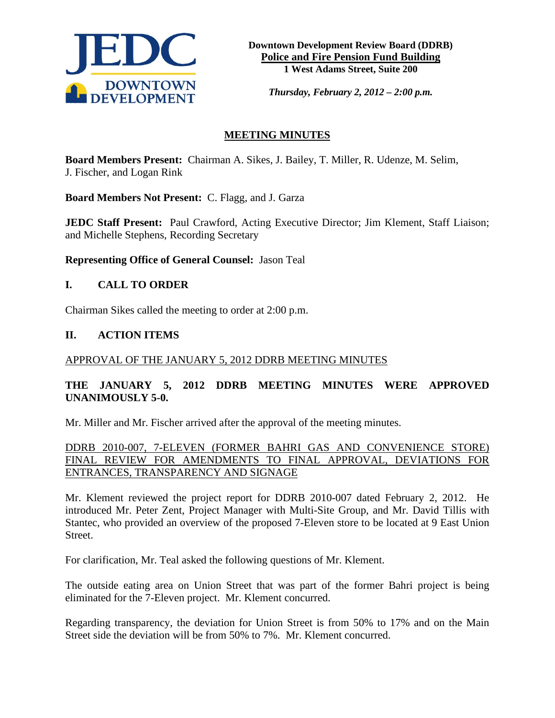

*Thursday, February 2, 2012 – 2:00 p.m.*

# **MEETING MINUTES**

**Board Members Present:** Chairman A. Sikes, J. Bailey, T. Miller, R. Udenze, M. Selim, J. Fischer, and Logan Rink

**Board Members Not Present:** C. Flagg, and J. Garza

**JEDC Staff Present:** Paul Crawford, Acting Executive Director; Jim Klement, Staff Liaison; and Michelle Stephens, Recording Secretary

**Representing Office of General Counsel:** Jason Teal

# **I. CALL TO ORDER**

Chairman Sikes called the meeting to order at 2:00 p.m.

## **II. ACTION ITEMS**

#### APPROVAL OF THE JANUARY 5, 2012 DDRB MEETING MINUTES

# **THE JANUARY 5, 2012 DDRB MEETING MINUTES WERE APPROVED UNANIMOUSLY 5-0.**

Mr. Miller and Mr. Fischer arrived after the approval of the meeting minutes.

DDRB 2010-007, 7-ELEVEN (FORMER BAHRI GAS AND CONVENIENCE STORE) FINAL REVIEW FOR AMENDMENTS TO FINAL APPROVAL, DEVIATIONS FOR ENTRANCES, TRANSPARENCY AND SIGNAGE

Mr. Klement reviewed the project report for DDRB 2010-007 dated February 2, 2012. He introduced Mr. Peter Zent, Project Manager with Multi-Site Group, and Mr. David Tillis with Stantec, who provided an overview of the proposed 7-Eleven store to be located at 9 East Union Street.

For clarification, Mr. Teal asked the following questions of Mr. Klement.

The outside eating area on Union Street that was part of the former Bahri project is being eliminated for the 7-Eleven project. Mr. Klement concurred.

Regarding transparency, the deviation for Union Street is from 50% to 17% and on the Main Street side the deviation will be from 50% to 7%. Mr. Klement concurred.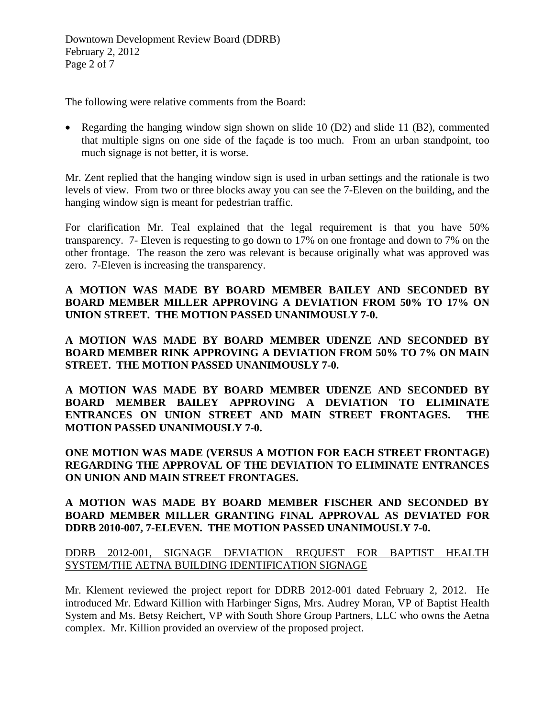The following were relative comments from the Board:

• Regarding the hanging window sign shown on slide 10 (D2) and slide 11 (B2), commented that multiple signs on one side of the façade is too much. From an urban standpoint, too much signage is not better, it is worse.

Mr. Zent replied that the hanging window sign is used in urban settings and the rationale is two levels of view. From two or three blocks away you can see the 7-Eleven on the building, and the hanging window sign is meant for pedestrian traffic.

For clarification Mr. Teal explained that the legal requirement is that you have 50% transparency. 7- Eleven is requesting to go down to 17% on one frontage and down to 7% on the other frontage. The reason the zero was relevant is because originally what was approved was zero. 7-Eleven is increasing the transparency.

# **A MOTION WAS MADE BY BOARD MEMBER BAILEY AND SECONDED BY BOARD MEMBER MILLER APPROVING A DEVIATION FROM 50% TO 17% ON UNION STREET. THE MOTION PASSED UNANIMOUSLY 7-0.**

**A MOTION WAS MADE BY BOARD MEMBER UDENZE AND SECONDED BY BOARD MEMBER RINK APPROVING A DEVIATION FROM 50% TO 7% ON MAIN STREET. THE MOTION PASSED UNANIMOUSLY 7-0.** 

**A MOTION WAS MADE BY BOARD MEMBER UDENZE AND SECONDED BY BOARD MEMBER BAILEY APPROVING A DEVIATION TO ELIMINATE ENTRANCES ON UNION STREET AND MAIN STREET FRONTAGES. THE MOTION PASSED UNANIMOUSLY 7-0.** 

**ONE MOTION WAS MADE (VERSUS A MOTION FOR EACH STREET FRONTAGE) REGARDING THE APPROVAL OF THE DEVIATION TO ELIMINATE ENTRANCES ON UNION AND MAIN STREET FRONTAGES.**

# **A MOTION WAS MADE BY BOARD MEMBER FISCHER AND SECONDED BY BOARD MEMBER MILLER GRANTING FINAL APPROVAL AS DEVIATED FOR DDRB 2010-007, 7-ELEVEN. THE MOTION PASSED UNANIMOUSLY 7-0.**

# DDRB 2012-001, SIGNAGE DEVIATION REQUEST FOR BAPTIST HEALTH SYSTEM/THE AETNA BUILDING IDENTIFICATION SIGNAGE

Mr. Klement reviewed the project report for DDRB 2012-001 dated February 2, 2012. He introduced Mr. Edward Killion with Harbinger Signs, Mrs. Audrey Moran, VP of Baptist Health System and Ms. Betsy Reichert, VP with South Shore Group Partners, LLC who owns the Aetna complex. Mr. Killion provided an overview of the proposed project.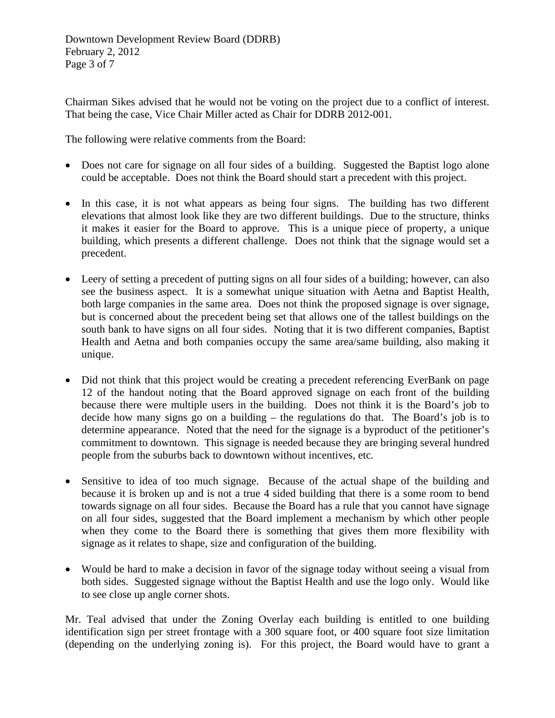Chairman Sikes advised that he would not be voting on the project due to a conflict of interest. That being the case, Vice Chair Miller acted as Chair for DDRB 2012-001.

The following were relative comments from the Board:

- Does not care for signage on all four sides of a building. Suggested the Baptist logo alone could be acceptable. Does not think the Board should start a precedent with this project.
- In this case, it is not what appears as being four signs. The building has two different elevations that almost look like they are two different buildings. Due to the structure, thinks it makes it easier for the Board to approve. This is a unique piece of property, a unique building, which presents a different challenge. Does not think that the signage would set a precedent.
- Leery of setting a precedent of putting signs on all four sides of a building; however, can also see the business aspect. It is a somewhat unique situation with Aetna and Baptist Health, both large companies in the same area. Does not think the proposed signage is over signage, but is concerned about the precedent being set that allows one of the tallest buildings on the south bank to have signs on all four sides. Noting that it is two different companies, Baptist Health and Aetna and both companies occupy the same area/same building, also making it unique.
- Did not think that this project would be creating a precedent referencing EverBank on page 12 of the handout noting that the Board approved signage on each front of the building because there were multiple users in the building. Does not think it is the Board's job to decide how many signs go on a building – the regulations do that. The Board's job is to determine appearance. Noted that the need for the signage is a byproduct of the petitioner's commitment to downtown. This signage is needed because they are bringing several hundred people from the suburbs back to downtown without incentives, etc.
- Sensitive to idea of too much signage. Because of the actual shape of the building and because it is broken up and is not a true 4 sided building that there is a some room to bend towards signage on all four sides. Because the Board has a rule that you cannot have signage on all four sides, suggested that the Board implement a mechanism by which other people when they come to the Board there is something that gives them more flexibility with signage as it relates to shape, size and configuration of the building.
- Would be hard to make a decision in favor of the signage today without seeing a visual from both sides. Suggested signage without the Baptist Health and use the logo only. Would like to see close up angle corner shots.

Mr. Teal advised that under the Zoning Overlay each building is entitled to one building identification sign per street frontage with a 300 square foot, or 400 square foot size limitation (depending on the underlying zoning is). For this project, the Board would have to grant a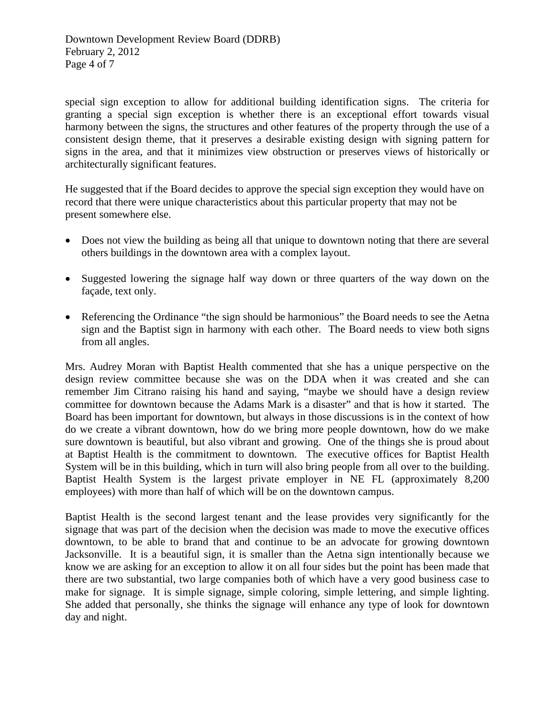special sign exception to allow for additional building identification signs. The criteria for granting a special sign exception is whether there is an exceptional effort towards visual harmony between the signs, the structures and other features of the property through the use of a consistent design theme, that it preserves a desirable existing design with signing pattern for signs in the area, and that it minimizes view obstruction or preserves views of historically or architecturally significant features.

He suggested that if the Board decides to approve the special sign exception they would have on record that there were unique characteristics about this particular property that may not be present somewhere else.

- Does not view the building as being all that unique to downtown noting that there are several others buildings in the downtown area with a complex layout.
- Suggested lowering the signage half way down or three quarters of the way down on the façade, text only.
- Referencing the Ordinance "the sign should be harmonious" the Board needs to see the Aetna sign and the Baptist sign in harmony with each other. The Board needs to view both signs from all angles.

Mrs. Audrey Moran with Baptist Health commented that she has a unique perspective on the design review committee because she was on the DDA when it was created and she can remember Jim Citrano raising his hand and saying, "maybe we should have a design review committee for downtown because the Adams Mark is a disaster" and that is how it started. The Board has been important for downtown, but always in those discussions is in the context of how do we create a vibrant downtown, how do we bring more people downtown, how do we make sure downtown is beautiful, but also vibrant and growing. One of the things she is proud about at Baptist Health is the commitment to downtown. The executive offices for Baptist Health System will be in this building, which in turn will also bring people from all over to the building. Baptist Health System is the largest private employer in NE FL (approximately 8,200 employees) with more than half of which will be on the downtown campus.

Baptist Health is the second largest tenant and the lease provides very significantly for the signage that was part of the decision when the decision was made to move the executive offices downtown, to be able to brand that and continue to be an advocate for growing downtown Jacksonville. It is a beautiful sign, it is smaller than the Aetna sign intentionally because we know we are asking for an exception to allow it on all four sides but the point has been made that there are two substantial, two large companies both of which have a very good business case to make for signage. It is simple signage, simple coloring, simple lettering, and simple lighting. She added that personally, she thinks the signage will enhance any type of look for downtown day and night.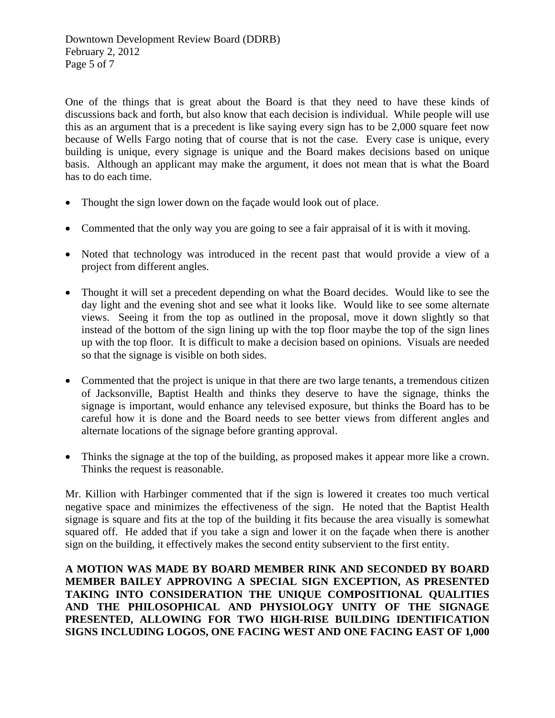One of the things that is great about the Board is that they need to have these kinds of discussions back and forth, but also know that each decision is individual. While people will use this as an argument that is a precedent is like saying every sign has to be 2,000 square feet now because of Wells Fargo noting that of course that is not the case. Every case is unique, every building is unique, every signage is unique and the Board makes decisions based on unique basis. Although an applicant may make the argument, it does not mean that is what the Board has to do each time.

- Thought the sign lower down on the façade would look out of place.
- Commented that the only way you are going to see a fair appraisal of it is with it moving.
- Noted that technology was introduced in the recent past that would provide a view of a project from different angles.
- Thought it will set a precedent depending on what the Board decides. Would like to see the day light and the evening shot and see what it looks like. Would like to see some alternate views. Seeing it from the top as outlined in the proposal, move it down slightly so that instead of the bottom of the sign lining up with the top floor maybe the top of the sign lines up with the top floor. It is difficult to make a decision based on opinions. Visuals are needed so that the signage is visible on both sides.
- Commented that the project is unique in that there are two large tenants, a tremendous citizen of Jacksonville, Baptist Health and thinks they deserve to have the signage, thinks the signage is important, would enhance any televised exposure, but thinks the Board has to be careful how it is done and the Board needs to see better views from different angles and alternate locations of the signage before granting approval.
- Thinks the signage at the top of the building, as proposed makes it appear more like a crown. Thinks the request is reasonable.

Mr. Killion with Harbinger commented that if the sign is lowered it creates too much vertical negative space and minimizes the effectiveness of the sign. He noted that the Baptist Health signage is square and fits at the top of the building it fits because the area visually is somewhat squared off. He added that if you take a sign and lower it on the façade when there is another sign on the building, it effectively makes the second entity subservient to the first entity.

**A MOTION WAS MADE BY BOARD MEMBER RINK AND SECONDED BY BOARD MEMBER BAILEY APPROVING A SPECIAL SIGN EXCEPTION, AS PRESENTED TAKING INTO CONSIDERATION THE UNIQUE COMPOSITIONAL QUALITIES AND THE PHILOSOPHICAL AND PHYSIOLOGY UNITY OF THE SIGNAGE PRESENTED, ALLOWING FOR TWO HIGH-RISE BUILDING IDENTIFICATION SIGNS INCLUDING LOGOS, ONE FACING WEST AND ONE FACING EAST OF 1,000**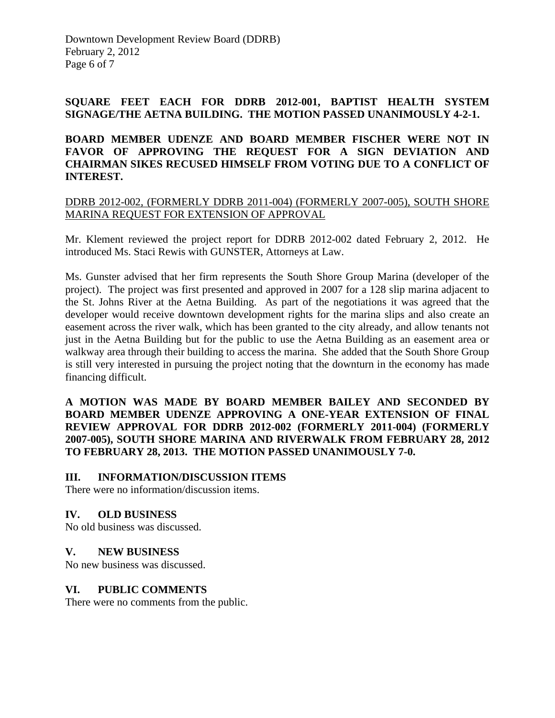## **SQUARE FEET EACH FOR DDRB 2012-001, BAPTIST HEALTH SYSTEM SIGNAGE/THE AETNA BUILDING. THE MOTION PASSED UNANIMOUSLY 4-2-1.**

# **BOARD MEMBER UDENZE AND BOARD MEMBER FISCHER WERE NOT IN FAVOR OF APPROVING THE REQUEST FOR A SIGN DEVIATION AND CHAIRMAN SIKES RECUSED HIMSELF FROM VOTING DUE TO A CONFLICT OF INTEREST.**

## DDRB 2012-002, (FORMERLY DDRB 2011-004) (FORMERLY 2007-005), SOUTH SHORE MARINA REQUEST FOR EXTENSION OF APPROVAL

Mr. Klement reviewed the project report for DDRB 2012-002 dated February 2, 2012. He introduced Ms. Staci Rewis with GUNSTER, Attorneys at Law.

Ms. Gunster advised that her firm represents the South Shore Group Marina (developer of the project). The project was first presented and approved in 2007 for a 128 slip marina adjacent to the St. Johns River at the Aetna Building. As part of the negotiations it was agreed that the developer would receive downtown development rights for the marina slips and also create an easement across the river walk, which has been granted to the city already, and allow tenants not just in the Aetna Building but for the public to use the Aetna Building as an easement area or walkway area through their building to access the marina. She added that the South Shore Group is still very interested in pursuing the project noting that the downturn in the economy has made financing difficult.

## **A MOTION WAS MADE BY BOARD MEMBER BAILEY AND SECONDED BY BOARD MEMBER UDENZE APPROVING A ONE-YEAR EXTENSION OF FINAL REVIEW APPROVAL FOR DDRB 2012-002 (FORMERLY 2011-004) (FORMERLY 2007-005), SOUTH SHORE MARINA AND RIVERWALK FROM FEBRUARY 28, 2012 TO FEBRUARY 28, 2013. THE MOTION PASSED UNANIMOUSLY 7-0.**

# **III. INFORMATION/DISCUSSION ITEMS**

There were no information/discussion items.

# **IV. OLD BUSINESS**

No old business was discussed.

# **V. NEW BUSINESS**

No new business was discussed.

#### **VI. PUBLIC COMMENTS**

There were no comments from the public.